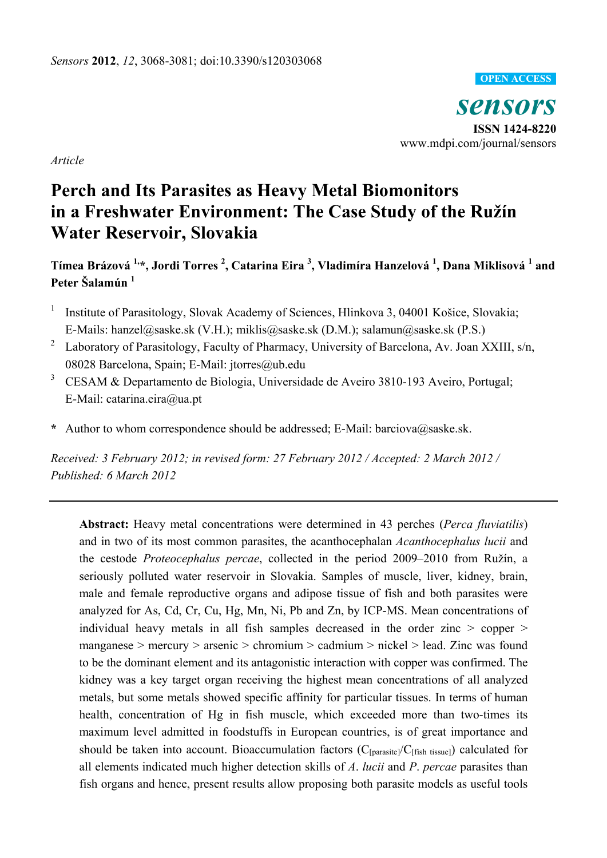#### **OPEN ACCESS**

*sensors*  **ISSN 1424-8220**  www.mdpi.com/journal/sensors

*Article* 

# **Perch and Its Parasites as Heavy Metal Biomonitors in a Freshwater Environment: The Case Study of the Ružín Water Reservoir, Slovakia**

**Tímea Brázová 1,\*, Jordi Torres 2 , Catarina Eira <sup>3</sup> , Vladimíra Hanzelová 1 , Dana Miklisová 1 and Peter Šalamún <sup>1</sup>**

- 1 Institute of Parasitology, Slovak Academy of Sciences, Hlinkova 3, 04001 Košice, Slovakia; E-Mails: hanzel@saske.sk (V.H.); miklis@saske.sk (D.M.); salamun@saske.sk (P.S.)
- 2 Laboratory of Parasitology, Faculty of Pharmacy, University of Barcelona, Av. Joan XXIII, s/n, 08028 Barcelona, Spain; E-Mail: jtorres@ub.edu
- 3 CESAM & Departamento de Biologia, Universidade de Aveiro 3810-193 Aveiro, Portugal; E-Mail: catarina.eira@ua.pt
- **\*** Author to whom correspondence should be addressed; E-Mail: barciova@saske.sk.

*Received: 3 February 2012; in revised form: 27 February 2012 / Accepted: 2 March 2012 / Published: 6 March 2012* 

**Abstract:** Heavy metal concentrations were determined in 43 perches (*Perca fluviatilis*) and in two of its most common parasites, the acanthocephalan *Acanthocephalus lucii* and the cestode *Proteocephalus percae*, collected in the period 2009–2010 from Ružín, a seriously polluted water reservoir in Slovakia. Samples of muscle, liver, kidney, brain, male and female reproductive organs and adipose tissue of fish and both parasites were analyzed for As, Cd, Cr, Cu, Hg, Mn, Ni, Pb and Zn, by ICP-MS. Mean concentrations of individual heavy metals in all fish samples decreased in the order zinc > copper > manganese > mercury > arsenic > chromium > cadmium > nickel > lead. Zinc was found to be the dominant element and its antagonistic interaction with copper was confirmed. The kidney was a key target organ receiving the highest mean concentrations of all analyzed metals, but some metals showed specific affinity for particular tissues. In terms of human health, concentration of Hg in fish muscle, which exceeded more than two-times its maximum level admitted in foodstuffs in European countries, is of great importance and should be taken into account. Bioaccumulation factors ( $C_{\text{[parasite]}}/C_{\text{[fish tissue]}}$ ) calculated for all elements indicated much higher detection skills of *A*. *lucii* and *P*. *percae* parasites than fish organs and hence, present results allow proposing both parasite models as useful tools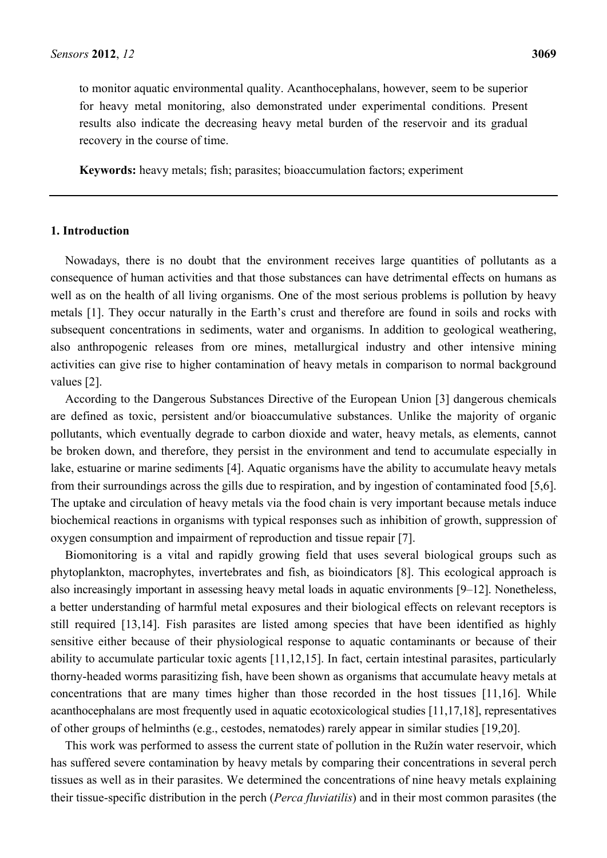to monitor aquatic environmental quality. Acanthocephalans, however, seem to be superior for heavy metal monitoring, also demonstrated under experimental conditions. Present results also indicate the decreasing heavy metal burden of the reservoir and its gradual recovery in the course of time.

**Keywords:** heavy metals; fish; parasites; bioaccumulation factors; experiment

## **1. Introduction**

Nowadays, there is no doubt that the environment receives large quantities of pollutants as a consequence of human activities and that those substances can have detrimental effects on humans as well as on the health of all living organisms. One of the most serious problems is pollution by heavy metals [1]. They occur naturally in the Earth's crust and therefore are found in soils and rocks with subsequent concentrations in sediments, water and organisms. In addition to geological weathering, also anthropogenic releases from ore mines, metallurgical industry and other intensive mining activities can give rise to higher contamination of heavy metals in comparison to normal background values [2].

According to the Dangerous Substances Directive of the European Union [3] dangerous chemicals are defined as toxic, persistent and/or bioaccumulative substances. Unlike the majority of organic pollutants, which eventually degrade to carbon dioxide and water, heavy metals, as elements, cannot be broken down, and therefore, they persist in the environment and tend to accumulate especially in lake, estuarine or marine sediments [4]. Aquatic organisms have the ability to accumulate heavy metals from their surroundings across the gills due to respiration, and by ingestion of contaminated food [5,6]. The uptake and circulation of heavy metals via the food chain is very important because metals induce biochemical reactions in organisms with typical responses such as inhibition of growth, suppression of oxygen consumption and impairment of reproduction and tissue repair [7].

Biomonitoring is a vital and rapidly growing field that uses several biological groups such as phytoplankton, macrophytes, invertebrates and fish, as bioindicators [8]. This ecological approach is also increasingly important in assessing heavy metal loads in aquatic environments [9–12]. Nonetheless, a better understanding of harmful metal exposures and their biological effects on relevant receptors is still required [13,14]. Fish parasites are listed among species that have been identified as highly sensitive either because of their physiological response to aquatic contaminants or because of their ability to accumulate particular toxic agents [11,12,15]. In fact, certain intestinal parasites, particularly thorny-headed worms parasitizing fish, have been shown as organisms that accumulate heavy metals at concentrations that are many times higher than those recorded in the host tissues [11,16]. While acanthocephalans are most frequently used in aquatic ecotoxicological studies [11,17,18], representatives of other groups of helminths (e.g., cestodes, nematodes) rarely appear in similar studies [19,20].

This work was performed to assess the current state of pollution in the Ružín water reservoir, which has suffered severe contamination by heavy metals by comparing their concentrations in several perch tissues as well as in their parasites. We determined the concentrations of nine heavy metals explaining their tissue-specific distribution in the perch (*Perca fluviatilis*) and in their most common parasites (the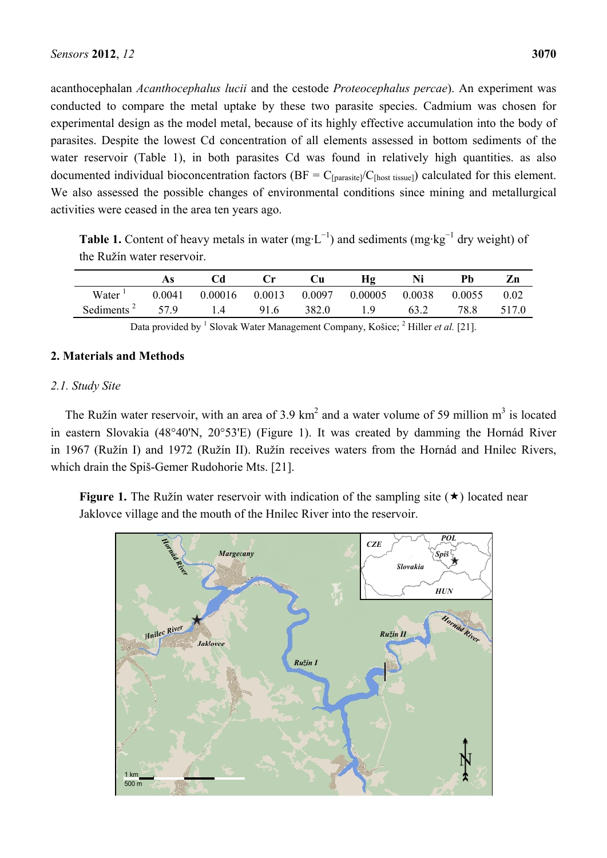acanthocephalan *Acanthocephalus lucii* and the cestode *Proteocephalus percae*). An experiment was conducted to compare the metal uptake by these two parasite species. Cadmium was chosen for experimental design as the model metal, because of its highly effective accumulation into the body of parasites. Despite the lowest Cd concentration of all elements assessed in bottom sediments of the water reservoir (Table 1), in both parasites Cd was found in relatively high quantities. as also documented individual bioconcentration factors ( $BF = C_{\text{[parasite]}}/C_{\text{[host tissue]}}$ ) calculated for this element. We also assessed the possible changes of environmental conditions since mining and metallurgical activities were ceased in the area ten years ago.

**Table 1.** Content of heavy metals in water  $(mg \cdot L^{-1})$  and sediments  $(mg \cdot kg^{-1}$  dry weight) of the Ružín water reservoir.

|                                     |      |                                                         |      | <b>Cu</b> | Ηg  |      |        | Zn    |
|-------------------------------------|------|---------------------------------------------------------|------|-----------|-----|------|--------|-------|
| Water <sup>1</sup>                  |      | $0.0041$ $0.00016$ $0.0013$ $0.0097$ $0.00005$ $0.0038$ |      |           |     |      | 0.0055 | 0.02  |
| Sediments <sup><math>2</math></sup> | 57.9 | 1.4                                                     | 91.6 | 382.0     | -19 | 63.2 | 78.8   | 517.0 |
|                                     |      |                                                         |      |           |     |      |        |       |

Data provided by <sup>1</sup> Slovak Water Management Company, Košice; <sup>2</sup> Hiller *et al.* [21].

# **2. Materials and Methods**

## *2.1. Study Site*

The Ružín water reservoir, with an area of 3.9  $km^2$  and a water volume of 59 million  $m^3$  is located in eastern Slovakia (48°40'N, 20°53'E) (Figure 1). It was created by damming the Hornád River in 1967 (Ružín I) and 1972 (Ružín II). Ružín receives waters from the Hornád and Hnilec Rivers, which drain the Spiš-Gemer Rudohorie Mts. [21].

**Figure 1.** The Ružín water reservoir with indication of the sampling site  $(\star)$  located near Jaklovce village and the mouth of the Hnilec River into the reservoir.

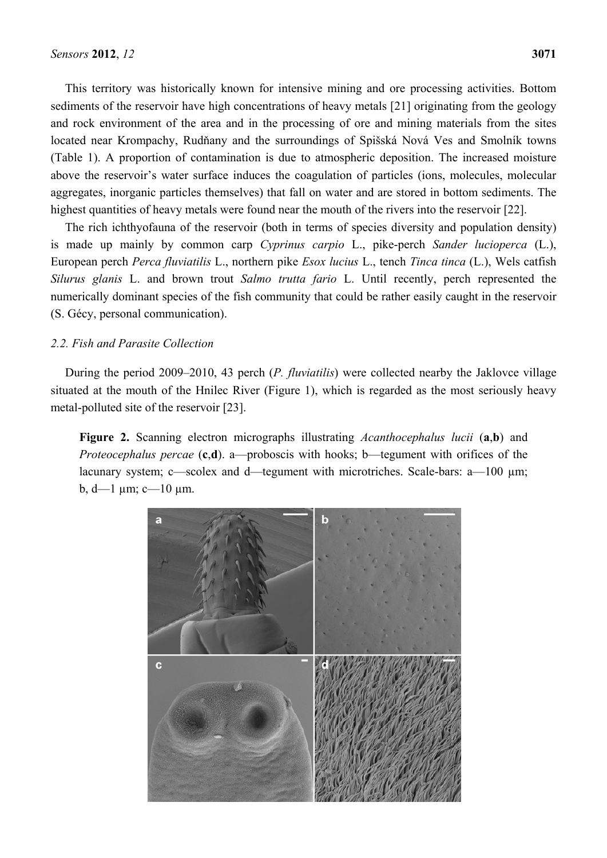This territory was historically known for intensive mining and ore processing activities. Bottom sediments of the reservoir have high concentrations of heavy metals [21] originating from the geology and rock environment of the area and in the processing of ore and mining materials from the sites located near Krompachy, Rudňany and the surroundings of Spišská Nová Ves and Smolník towns (Table 1). A proportion of contamination is due to atmospheric deposition. The increased moisture above the reservoir's water surface induces the coagulation of particles (ions, molecules, molecular aggregates, inorganic particles themselves) that fall on water and are stored in bottom sediments. The highest quantities of heavy metals were found near the mouth of the rivers into the reservoir [22].

The rich ichthyofauna of the reservoir (both in terms of species diversity and population density) is made up mainly by common carp *Cyprinus carpio* L., pike-perch *Sander lucioperca* (L.), European perch *Perca fluviatilis* L., northern pike *Esox lucius* L., tench *Tinca tinca* (L.), Wels catfish *Silurus glanis* L. and brown trout *Salmo trutta fario* L. Until recently, perch represented the numerically dominant species of the fish community that could be rather easily caught in the reservoir (S. Gécy, personal communication).

## *2.2. Fish and Parasite Collection*

During the period 2009–2010, 43 perch (*P. fluviatilis*) were collected nearby the Jaklovce village situated at the mouth of the Hnilec River (Figure 1), which is regarded as the most seriously heavy metal-polluted site of the reservoir [23].

**Figure 2.** Scanning electron micrographs illustrating *Acanthocephalus lucii* (**a**,**b**) and *Proteocephalus percae* (c,d). a—proboscis with hooks; b—tegument with orifices of the lacunary system; c—scolex and d—tegument with microtriches. Scale-bars: a—100  $\mu$ m; b,  $d$ —1  $\mu$ m; c—10  $\mu$ m.

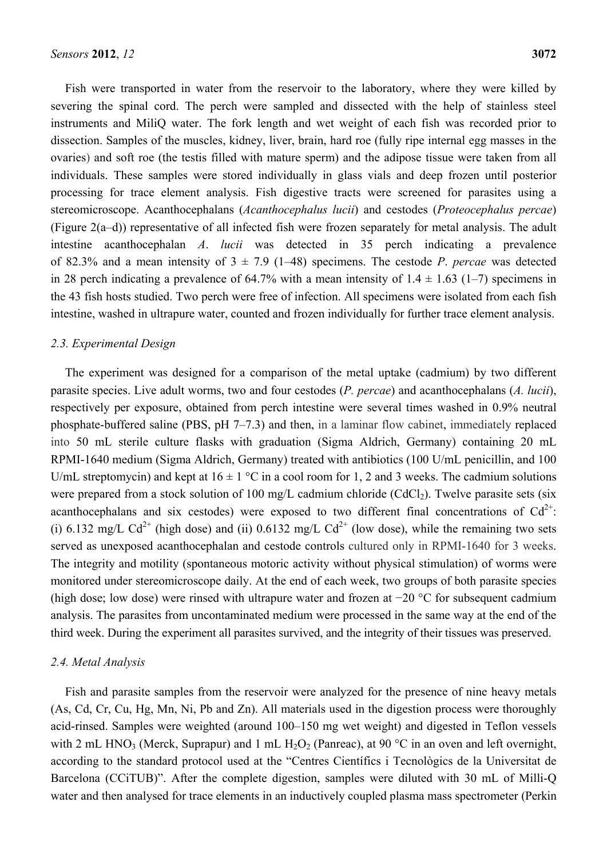Fish were transported in water from the reservoir to the laboratory, where they were killed by severing the spinal cord. The perch were sampled and dissected with the help of stainless steel instruments and MiliQ water. The fork length and wet weight of each fish was recorded prior to dissection. Samples of the muscles, kidney, liver, brain, hard roe (fully ripe internal egg masses in the ovaries) and soft roe (the testis filled with mature sperm) and the adipose tissue were taken from all individuals. These samples were stored individually in glass vials and deep frozen until posterior processing for trace element analysis. Fish digestive tracts were screened for parasites using a stereomicroscope. Acanthocephalans (*Acanthocephalus lucii*) and cestodes (*Proteocephalus percae*) (Figure 2(a–d)) representative of all infected fish were frozen separately for metal analysis. The adult intestine acanthocephalan *A*. *lucii* was detected in 35 perch indicating a prevalence of 82.3% and a mean intensity of  $3 \pm 7.9$  (1–48) specimens. The cestode *P. percae* was detected in 28 perch indicating a prevalence of 64.7% with a mean intensity of  $1.4 \pm 1.63$  (1–7) specimens in the 43 fish hosts studied. Two perch were free of infection. All specimens were isolated from each fish intestine, washed in ultrapure water, counted and frozen individually for further trace element analysis.

#### *2.3. Experimental Design*

The experiment was designed for a comparison of the metal uptake (cadmium) by two different parasite species. Live adult worms, two and four cestodes (*P. percae*) and acanthocephalans (*A. lucii*), respectively per exposure, obtained from perch intestine were several times washed in 0.9% neutral phosphate-buffered saline (PBS, pH 7–7.3) and then, in a laminar flow cabinet, immediately replaced into 50 mL sterile culture flasks with graduation (Sigma Aldrich, Germany) containing 20 mL RPMI-1640 medium (Sigma Aldrich, Germany) treated with antibiotics (100 U/mL penicillin, and 100 U/mL streptomycin) and kept at  $16 \pm 1$  °C in a cool room for 1, 2 and 3 weeks. The cadmium solutions were prepared from a stock solution of 100 mg/L cadmium chloride  $(CdCl<sub>2</sub>)$ . Twelve parasite sets (six acanthocephalans and six cestodes) were exposed to two different final concentrations of  $Cd^{2+}$ : (i) 6.132 mg/L Cd<sup>2+</sup> (high dose) and (ii) 0.6132 mg/L Cd<sup>2+</sup> (low dose), while the remaining two sets served as unexposed acanthocephalan and cestode controls cultured only in RPMI-1640 for 3 weeks. The integrity and motility (spontaneous motoric activity without physical stimulation) of worms were monitored under stereomicroscope daily. At the end of each week, two groups of both parasite species (high dose; low dose) were rinsed with ultrapure water and frozen at −20 °C for subsequent cadmium analysis. The parasites from uncontaminated medium were processed in the same way at the end of the third week. During the experiment all parasites survived, and the integrity of their tissues was preserved.

## *2.4. Metal Analysis*

Fish and parasite samples from the reservoir were analyzed for the presence of nine heavy metals (As, Cd, Cr, Cu, Hg, Mn, Ni, Pb and Zn). All materials used in the digestion process were thoroughly acid-rinsed. Samples were weighted (around 100–150 mg wet weight) and digested in Teflon vessels with 2 mL HNO<sub>3</sub> (Merck, Suprapur) and 1 mL H<sub>2</sub>O<sub>2</sub> (Panreac), at 90 °C in an oven and left overnight, according to the standard protocol used at the "Centres Científics i Tecnològics de la Universitat de Barcelona (CCiTUB)". After the complete digestion, samples were diluted with 30 mL of Milli-Q water and then analysed for trace elements in an inductively coupled plasma mass spectrometer (Perkin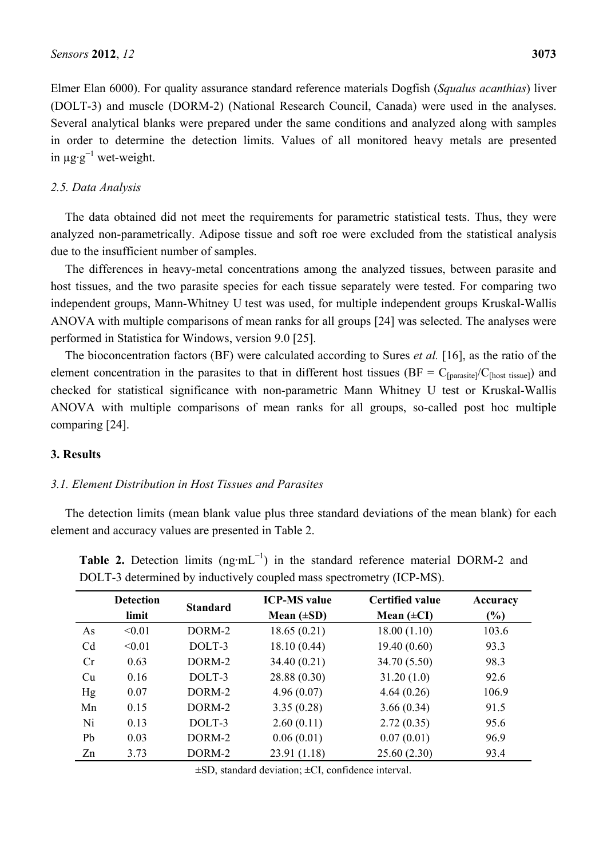Elmer Elan 6000). For quality assurance standard reference materials Dogfish (*Squalus acanthias*) liver (DOLT-3) and muscle (DORM-2) (National Research Council, Canada) were used in the analyses. Several analytical blanks were prepared under the same conditions and analyzed along with samples in order to determine the detection limits. Values of all monitored heavy metals are presented in  $\mu$ g·g<sup>-1</sup> wet-weight.

# *2.5. Data Analysis*

The data obtained did not meet the requirements for parametric statistical tests. Thus, they were analyzed non-parametrically. Adipose tissue and soft roe were excluded from the statistical analysis due to the insufficient number of samples.

The differences in heavy-metal concentrations among the analyzed tissues, between parasite and host tissues, and the two parasite species for each tissue separately were tested. For comparing two independent groups, Mann-Whitney U test was used, for multiple independent groups Kruskal-Wallis ANOVA with multiple comparisons of mean ranks for all groups [24] was selected. The analyses were performed in Statistica for Windows, version 9.0 [25].

The bioconcentration factors (BF) were calculated according to Sures *et al.* [16], as the ratio of the element concentration in the parasites to that in different host tissues ( $BF = C<sub>[parasite]</sub>/C<sub>[host tissue]</sub>$ ) and checked for statistical significance with non-parametric Mann Whitney U test or Kruskal-Wallis ANOVA with multiple comparisons of mean ranks for all groups, so-called post hoc multiple comparing [24].

#### **3. Results**

#### *3.1. Element Distribution in Host Tissues and Parasites*

The detection limits (mean blank value plus three standard deviations of the mean blank) for each element and accuracy values are presented in Table 2.

|                | <b>Detection</b><br>limit | <b>Standard</b> | <b>ICP-MS</b> value<br>Mean $(\pm SD)$ | <b>Certified value</b><br>Mean $(\pm CI)$ | Accuracy<br>(%) |
|----------------|---------------------------|-----------------|----------------------------------------|-------------------------------------------|-----------------|
| As             | < 0.01                    | DORM-2          | 18.65(0.21)                            | 18.00(1.10)                               | 103.6           |
| C <sub>d</sub> | < 0.01                    | DOLT-3          | 18.10(0.44)                            | 19.40(0.60)                               | 93.3            |
| Cr             | 0.63                      | DORM-2          | 34.40(0.21)                            | 34.70 (5.50)                              | 98.3            |
| Cu             | 0.16                      | DOLT-3          | 28.88 (0.30)                           | 31.20(1.0)                                | 92.6            |
| Hg             | 0.07                      | DORM-2          | 4.96(0.07)                             | 4.64(0.26)                                | 106.9           |
| Mn             | 0.15                      | DORM-2          | 3.35(0.28)                             | 3.66(0.34)                                | 91.5            |
| Ni             | 0.13                      | DOLT-3          | 2.60(0.11)                             | 2.72(0.35)                                | 95.6            |
| Pb             | 0.03                      | DORM-2          | 0.06(0.01)                             | 0.07(0.01)                                | 96.9            |
| Zn             | 3.73                      | DORM-2          | 23.91(1.18)                            | 25.60(2.30)                               | 93.4            |

Table 2. Detection limits (ng·mL<sup>-1</sup>) in the standard reference material DORM-2 and DOLT-3 determined by inductively coupled mass spectrometry (ICP-MS).

 $\pm$ SD, standard deviation;  $\pm$ CI, confidence interval.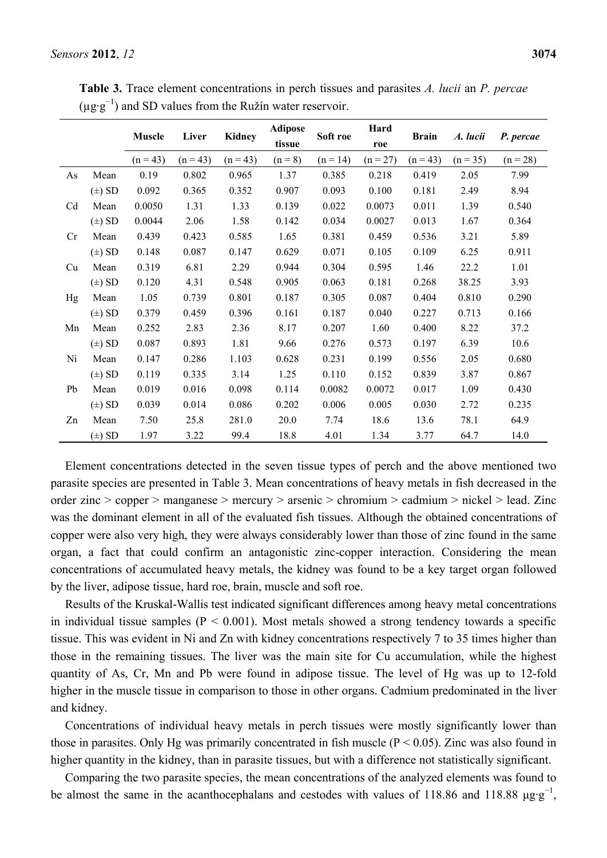|    |            | <b>Muscle</b> | Liver      | Kidney     | <b>Adipose</b><br>tissue | Soft roe   | Hard<br>roe | <b>Brain</b> | A. lucii   | P. percae  |
|----|------------|---------------|------------|------------|--------------------------|------------|-------------|--------------|------------|------------|
|    |            | $(n = 43)$    | $(n = 43)$ | $(n = 43)$ | $(n = 8)$                | $(n = 14)$ | $(n = 27)$  | $(n = 43)$   | $(n = 35)$ | $(n = 28)$ |
| As | Mean       | 0.19          | 0.802      | 0.965      | 1.37                     | 0.385      | 0.218       | 0.419        | 2.05       | 7.99       |
|    | $(\pm)$ SD | 0.092         | 0.365      | 0.352      | 0.907                    | 0.093      | 0.100       | 0.181        | 2.49       | 8.94       |
| Cd | Mean       | 0.0050        | 1.31       | 1.33       | 0.139                    | 0.022      | 0.0073      | 0.011        | 1.39       | 0.540      |
|    | $(\pm)$ SD | 0.0044        | 2.06       | 1.58       | 0.142                    | 0.034      | 0.0027      | 0.013        | 1.67       | 0.364      |
| Cr | Mean       | 0.439         | 0.423      | 0.585      | 1.65                     | 0.381      | 0.459       | 0.536        | 3.21       | 5.89       |
|    | $(\pm)$ SD | 0.148         | 0.087      | 0.147      | 0.629                    | 0.071      | 0.105       | 0.109        | 6.25       | 0.911      |
| Cu | Mean       | 0.319         | 6.81       | 2.29       | 0.944                    | 0.304      | 0.595       | 1.46         | 22.2       | 1.01       |
|    | $(\pm)$ SD | 0.120         | 4.31       | 0.548      | 0.905                    | 0.063      | 0.181       | 0.268        | 38.25      | 3.93       |
| Hg | Mean       | 1.05          | 0.739      | 0.801      | 0.187                    | 0.305      | 0.087       | 0.404        | 0.810      | 0.290      |
|    | $(\pm)$ SD | 0.379         | 0.459      | 0.396      | 0.161                    | 0.187      | 0.040       | 0.227        | 0.713      | 0.166      |
| Mn | Mean       | 0.252         | 2.83       | 2.36       | 8.17                     | 0.207      | 1.60        | 0.400        | 8.22       | 37.2       |
|    | $(\pm)$ SD | 0.087         | 0.893      | 1.81       | 9.66                     | 0.276      | 0.573       | 0.197        | 6.39       | 10.6       |
| Ni | Mean       | 0.147         | 0.286      | 1.103      | 0.628                    | 0.231      | 0.199       | 0.556        | 2.05       | 0.680      |
|    | $(\pm)$ SD | 0.119         | 0.335      | 3.14       | 1.25                     | 0.110      | 0.152       | 0.839        | 3.87       | 0.867      |
| Pb | Mean       | 0.019         | 0.016      | 0.098      | 0.114                    | 0.0082     | 0.0072      | 0.017        | 1.09       | 0.430      |
|    | $(\pm)$ SD | 0.039         | 0.014      | 0.086      | 0.202                    | 0.006      | 0.005       | 0.030        | 2.72       | 0.235      |
| Zn | Mean       | 7.50          | 25.8       | 281.0      | 20.0                     | 7.74       | 18.6        | 13.6         | 78.1       | 64.9       |
|    | $(\pm)$ SD | 1.97          | 3.22       | 99.4       | 18.8                     | 4.01       | 1.34        | 3.77         | 64.7       | 14.0       |

**Table 3.** Trace element concentrations in perch tissues and parasites *A. lucii* an *P. percae*  $(\mu g \cdot g^{-1})$  and SD values from the Ružín water reservoir.

Element concentrations detected in the seven tissue types of perch and the above mentioned two parasite species are presented in Table 3. Mean concentrations of heavy metals in fish decreased in the order zinc > copper > manganese > mercury > arsenic > chromium > cadmium > nickel > lead. Zinc was the dominant element in all of the evaluated fish tissues. Although the obtained concentrations of copper were also very high, they were always considerably lower than those of zinc found in the same organ, a fact that could confirm an antagonistic zinc-copper interaction. Considering the mean concentrations of accumulated heavy metals, the kidney was found to be a key target organ followed by the liver, adipose tissue, hard roe, brain, muscle and soft roe.

Results of the Kruskal-Wallis test indicated significant differences among heavy metal concentrations in individual tissue samples  $(P < 0.001)$ . Most metals showed a strong tendency towards a specific tissue. This was evident in Ni and Zn with kidney concentrations respectively 7 to 35 times higher than those in the remaining tissues. The liver was the main site for Cu accumulation, while the highest quantity of As, Cr, Mn and Pb were found in adipose tissue. The level of Hg was up to 12-fold higher in the muscle tissue in comparison to those in other organs. Cadmium predominated in the liver and kidney.

Concentrations of individual heavy metals in perch tissues were mostly significantly lower than those in parasites. Only Hg was primarily concentrated in fish muscle  $(P < 0.05)$ . Zinc was also found in higher quantity in the kidney, than in parasite tissues, but with a difference not statistically significant.

Comparing the two parasite species, the mean concentrations of the analyzed elements was found to be almost the same in the acanthocephalans and cestodes with values of 118.86 and 118.88  $\mu$ g·g<sup>-1</sup>,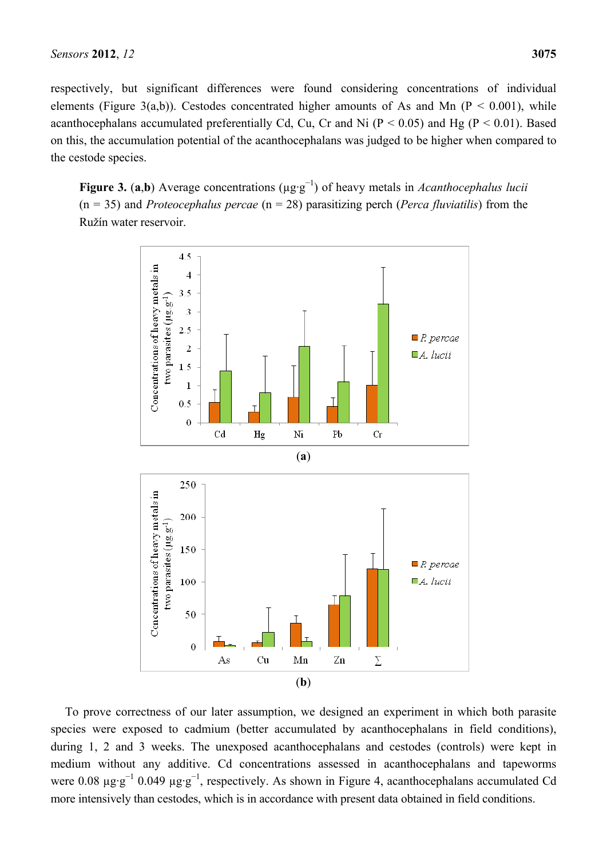respectively, but significant differences were found considering concentrations of individual elements (Figure 3(a,b)). Cestodes concentrated higher amounts of As and Mn ( $P < 0.001$ ), while acanthocephalans accumulated preferentially Cd, Cu, Cr and Ni  $(P < 0.05)$  and Hg  $(P < 0.01)$ . Based on this, the accumulation potential of the acanthocephalans was judged to be higher when compared to the cestode species.

**Figure 3.** (**a**,**b**) Average concentrations (µg·g<sup>−</sup><sup>1</sup> ) of heavy metals in *Acanthocephalus lucii* (n = 35) and *Proteocephalus percae* (n = 28) parasitizing perch (*Perca fluviatilis*) from the Ružín water reservoir.



To prove correctness of our later assumption, we designed an experiment in which both parasite species were exposed to cadmium (better accumulated by acanthocephalans in field conditions), during 1, 2 and 3 weeks. The unexposed acanthocephalans and cestodes (controls) were kept in medium without any additive. Cd concentrations assessed in acanthocephalans and tapeworms were 0.08  $\mu$ g·g<sup>-1</sup> 0.049  $\mu$ g·g<sup>-1</sup>, respectively. As shown in Figure 4, acanthocephalans accumulated Cd more intensively than cestodes, which is in accordance with present data obtained in field conditions.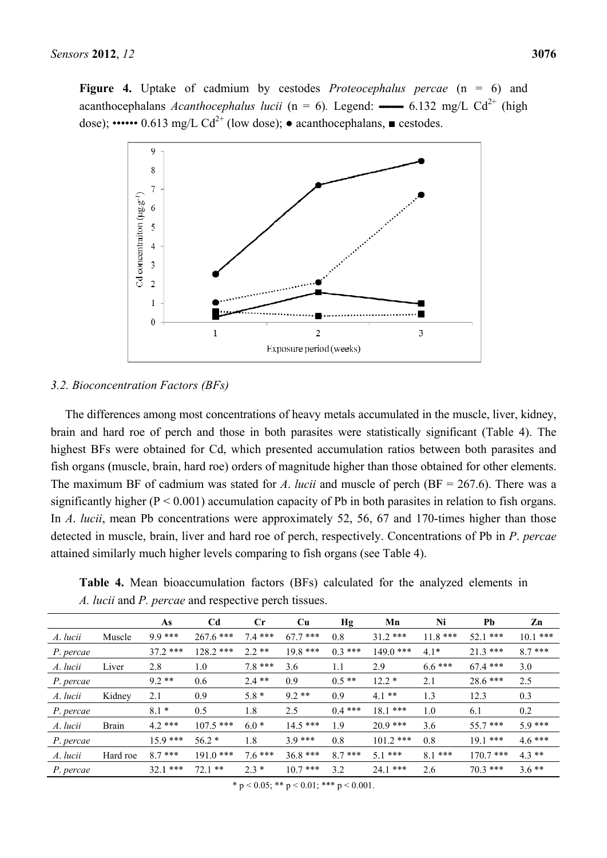**Figure 4.** Uptake of cadmium by cestodes *Proteocephalus percae*  $(n = 6)$  and acanthocephalans *Acanthocephalus lucii* (n = 6). Legend: —— 6.132 mg/L Cd<sup>2+</sup> (high dose); •••••• 0.613 mg/L Cd<sup>2+</sup> (low dose); • acanthocephalans,  $\blacksquare$  cestodes.



#### *3 3.2. Bioconc centration F Factors (BF Fs)*

brain and hard roe of perch and those in both parasites were statistically significant (Table 4). The highest BFs were obtained for Cd, which presented accumulation ratios between both parasites and fish organs (muscle, brain, hard roe) orders of magnitude higher than those obtained for other elements. The maximum BF of cadmium was stated for *A*. *lucii* and muscle of perch (BF = 267.6). There was a significantly higher ( $P < 0.001$ ) accumulation capacity of Pb in both parasites in relation to fish organs. In *A. lucii*, mean Pb concentrations were approximately 52, 56, 67 and 170-times higher than those detected in muscle, brain, liver and hard roe of perch, respectively. Concentrations of Pb in *P. percae* attained similarly much higher levels comparing to fish organs (see Table 4). The differences among most concentrations of heavy metals accumulated in the muscle, liver, kidney,

Table 4. Mean bioaccumulation factors (BFs) calculated for the analyzed elements in A. lucii and P. percae and respective perch tissues.

|           |              | As         | Cd          | $\mathbf{C}$ r | <b>Cu</b>  | Hg       | Mn          | Ni        | Pb         | Zn         |
|-----------|--------------|------------|-------------|----------------|------------|----------|-------------|-----------|------------|------------|
| A. lucii  | Muscle       | $9.9***$   | $267.6$ *** | $7.4***$       | $67.7***$  | 0.8      | $31.2$ ***  | $11.8***$ | $52.1***$  | $10.1$ *** |
| P. percae |              | $37.2$ *** | $128.2$ *** | $2.2**$        | $19.8***$  | $0.3***$ | $149.0$ *** | $4.1*$    | $21.3***$  | $8.7***$   |
| A. lucii  | Liver        | 2.8        | 1.0         | $7.8***$       | 3.6        | 1.1      | 2.9         | $6.6***$  | $67.4***$  | 3.0        |
| P. percae |              | $9.2**$    | 0.6         | $2.4**$        | 0.9        | $0.5**$  | $12.2*$     | 2.1       | $28.6***$  | 2.5        |
| A. lucii  | Kidney       | 2.1        | 0.9         | $5.8*$         | $9.2**$    | 0.9      | $4.1**$     | 1.3       | 12.3       | 0.3        |
| P. percae |              | $8.1*$     | 0.5         | 1.8            | 2.5        | $0.4***$ | $18.1***$   | 1.0       | 6.1        | 0.2        |
| A. lucii  | <b>Brain</b> | $42***$    | $107.5$ *** | $6.0*$         | $14.5***$  | 1.9      | $20.9$ ***  | 3.6       | $55.7$ *** | $59***$    |
| P. percae |              | $159***$   | $562*$      | 1.8            | $39***$    | 0.8      | $1012$ ***  | 0.8       | $191***$   | $46***$    |
| A. lucii  | Hard roe     | $8.7***$   | $191.0$ *** | $7.6***$       | $36.8***$  | $8.7***$ | $5.1***$    | $8.1***$  | $1707$ *** | $4.3**$    |
| P. percae |              | $32.1***$  | $72.1$ **   | $2.3*$         | $10.7$ *** | 3.2      | $24.1$ ***  | 2.6       | $70.3***$  | $3.6**$    |

 $*$  p < 0.05; \*\* p < 0.01; \*\*\* p < 0.001.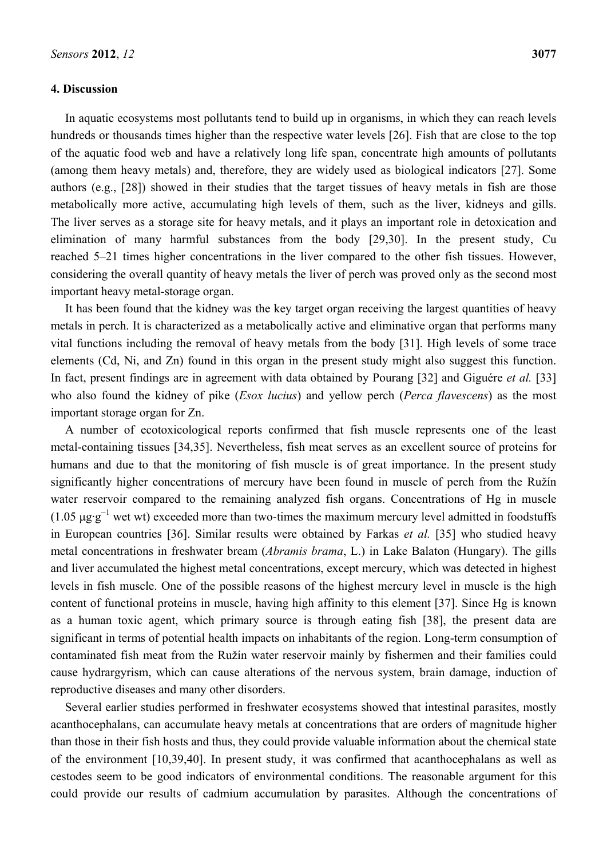#### **4. Discussion**

In aquatic ecosystems most pollutants tend to build up in organisms, in which they can reach levels hundreds or thousands times higher than the respective water levels [26]. Fish that are close to the top of the aquatic food web and have a relatively long life span, concentrate high amounts of pollutants (among them heavy metals) and, therefore, they are widely used as biological indicators [27]. Some authors (e.g., [28]) showed in their studies that the target tissues of heavy metals in fish are those metabolically more active, accumulating high levels of them, such as the liver, kidneys and gills. The liver serves as a storage site for heavy metals, and it plays an important role in detoxication and elimination of many harmful substances from the body [29,30]. In the present study, Cu reached 5–21 times higher concentrations in the liver compared to the other fish tissues. However, considering the overall quantity of heavy metals the liver of perch was proved only as the second most important heavy metal-storage organ.

It has been found that the kidney was the key target organ receiving the largest quantities of heavy metals in perch. It is characterized as a metabolically active and eliminative organ that performs many vital functions including the removal of heavy metals from the body [31]. High levels of some trace elements (Cd, Ni, and Zn) found in this organ in the present study might also suggest this function. In fact, present findings are in agreement with data obtained by Pourang [32] and Giguére *et al.* [33] who also found the kidney of pike (*Esox lucius*) and yellow perch (*Perca flavescens*) as the most important storage organ for Zn.

A number of ecotoxicological reports confirmed that fish muscle represents one of the least metal-containing tissues [34,35]. Nevertheless, fish meat serves as an excellent source of proteins for humans and due to that the monitoring of fish muscle is of great importance. In the present study significantly higher concentrations of mercury have been found in muscle of perch from the Ružín water reservoir compared to the remaining analyzed fish organs. Concentrations of Hg in muscle (1.05  $\mu$ g·g<sup>-1</sup> wet wt) exceeded more than two-times the maximum mercury level admitted in foodstuffs in European countries [36]. Similar results were obtained by Farkas *et al.* [35] who studied heavy metal concentrations in freshwater bream (*Abramis brama*, L.) in Lake Balaton (Hungary). The gills and liver accumulated the highest metal concentrations, except mercury, which was detected in highest levels in fish muscle. One of the possible reasons of the highest mercury level in muscle is the high content of functional proteins in muscle, having high affinity to this element [37]. Since Hg is known as a human toxic agent, which primary source is through eating fish [38], the present data are significant in terms of potential health impacts on inhabitants of the region. Long-term consumption of contaminated fish meat from the Ružín water reservoir mainly by fishermen and their families could cause hydrargyrism, which can cause alterations of the nervous system, brain damage, induction of reproductive diseases and many other disorders.

Several earlier studies performed in freshwater ecosystems showed that intestinal parasites, mostly acanthocephalans, can accumulate heavy metals at concentrations that are orders of magnitude higher than those in their fish hosts and thus, they could provide valuable information about the chemical state of the environment [10,39,40]. In present study, it was confirmed that acanthocephalans as well as cestodes seem to be good indicators of environmental conditions. The reasonable argument for this could provide our results of cadmium accumulation by parasites. Although the concentrations of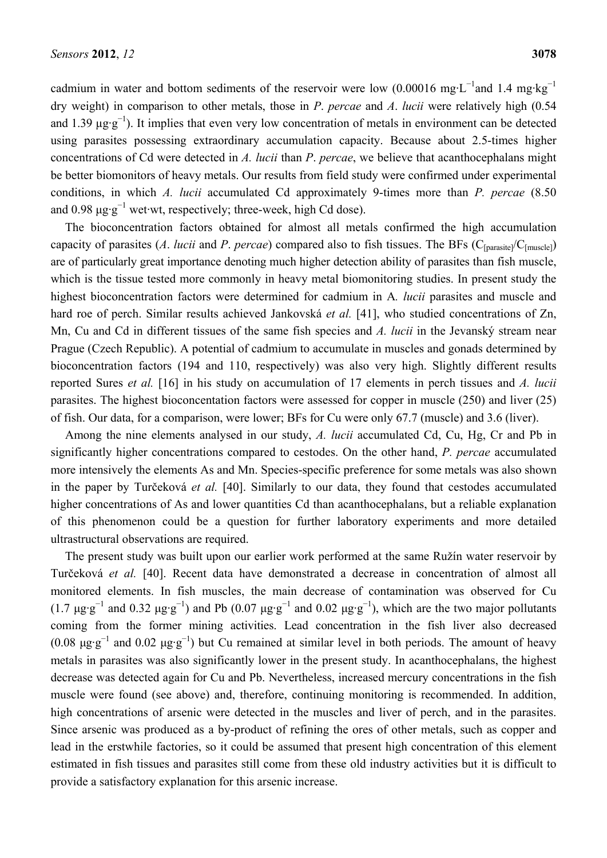cadmium in water and bottom sediments of the reservoir were low (0.00016 mg⋅L<sup>-1</sup>and 1.4 mg⋅kg<sup>-1</sup> dry weight) in comparison to other metals, those in *P*. *percae* and *A*. *lucii* were relatively high (0.54 and 1.39  $\mu$ g·g<sup>-1</sup>). It implies that even very low concentration of metals in environment can be detected using parasites possessing extraordinary accumulation capacity. Because about 2.5-times higher concentrations of Cd were detected in *A. lucii* than *P*. *percae*, we believe that acanthocephalans might be better biomonitors of heavy metals. Our results from field study were confirmed under experimental conditions, in which *A. lucii* accumulated Cd approximately 9-times more than *P. percae* (8.50 and 0.98  $\mu$ g·g<sup>-1</sup> wet·wt, respectively; three-week, high Cd dose).

The bioconcentration factors obtained for almost all metals confirmed the high accumulation capacity of parasites (*A. lucii* and *P. percae*) compared also to fish tissues. The BFs ( $C_{\text{[narasite]}}/C_{\text{[muscle]}}$ ) are of particularly great importance denoting much higher detection ability of parasites than fish muscle, which is the tissue tested more commonly in heavy metal biomonitoring studies. In present study the highest bioconcentration factors were determined for cadmium in A*. lucii* parasites and muscle and hard roe of perch. Similar results achieved Jankovská *et al.* [41], who studied concentrations of Zn, Mn, Cu and Cd in different tissues of the same fish species and *A. lucii* in the Jevanský stream near Prague (Czech Republic). A potential of cadmium to accumulate in muscles and gonads determined by bioconcentration factors (194 and 110, respectively) was also very high. Slightly different results reported Sures *et al.* [16] in his study on accumulation of 17 elements in perch tissues and *A. lucii*  parasites. The highest bioconcentation factors were assessed for copper in muscle (250) and liver (25) of fish. Our data, for a comparison, were lower; BFs for Cu were only 67.7 (muscle) and 3.6 (liver).

Among the nine elements analysed in our study, *A. lucii* accumulated Cd, Cu, Hg, Cr and Pb in significantly higher concentrations compared to cestodes. On the other hand, *P. percae* accumulated more intensively the elements As and Mn. Species-specific preference for some metals was also shown in the paper by Turčeková *et al.* [40]. Similarly to our data, they found that cestodes accumulated higher concentrations of As and lower quantities Cd than acanthocephalans, but a reliable explanation of this phenomenon could be a question for further laboratory experiments and more detailed ultrastructural observations are required.

The present study was built upon our earlier work performed at the same Ružín water reservoir by Turčeková *et al.* [40]. Recent data have demonstrated a decrease in concentration of almost all monitored elements. In fish muscles, the main decrease of contamination was observed for Cu (1.7  $\mu$ g·g<sup>-1</sup> and 0.32  $\mu$ g·g<sup>-1</sup>) and Pb (0.07  $\mu$ g·g<sup>-1</sup> and 0.02  $\mu$ g·g<sup>-1</sup>), which are the two major pollutants coming from the former mining activities. Lead concentration in the fish liver also decreased (0.08  $\mu$ g·g<sup>-1</sup> and 0.02  $\mu$ g·g<sup>-1</sup>) but Cu remained at similar level in both periods. The amount of heavy metals in parasites was also significantly lower in the present study. In acanthocephalans, the highest decrease was detected again for Cu and Pb. Nevertheless, increased mercury concentrations in the fish muscle were found (see above) and, therefore, continuing monitoring is recommended. In addition, high concentrations of arsenic were detected in the muscles and liver of perch, and in the parasites. Since arsenic was produced as a by-product of refining the ores of other metals, such as copper and lead in the erstwhile factories, so it could be assumed that present high concentration of this element estimated in fish tissues and parasites still come from these old industry activities but it is difficult to provide a satisfactory explanation for this arsenic increase.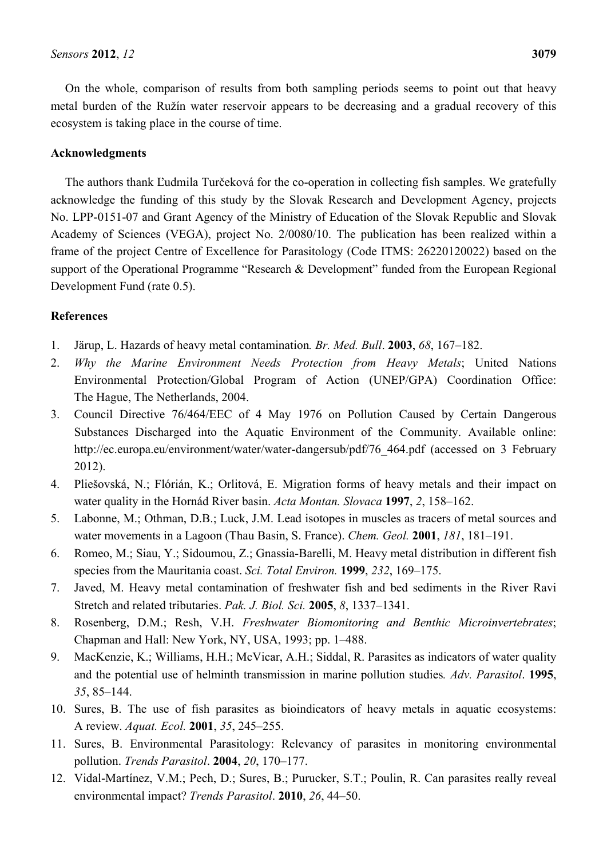On the whole, comparison of results from both sampling periods seems to point out that heavy metal burden of the Ružín water reservoir appears to be decreasing and a gradual recovery of this ecosystem is taking place in the course of time.

## **Acknowledgments**

The authors thank Ľudmila Turčeková for the co-operation in collecting fish samples. We gratefully acknowledge the funding of this study by the Slovak Research and Development Agency, projects No. LPP-0151-07 and Grant Agency of the Ministry of Education of the Slovak Republic and Slovak Academy of Sciences (VEGA), project No. 2/0080/10. The publication has been realized within a frame of the project Centre of Excellence for Parasitology (Code ITMS: 26220120022) based on the support of the Operational Programme "Research & Development" funded from the European Regional Development Fund (rate 0.5).

# **References**

- 1. Järup, L. Hazards of heavy metal contamination*. Br. Med. Bull*. **2003**, *68*, 167–182.
- 2. *Why the Marine Environment Needs Protection from Heavy Metals*; United Nations Environmental Protection/Global Program of Action (UNEP/GPA) Coordination Office: The Hague, The Netherlands, 2004.
- 3. Council Directive 76/464/EEC of 4 May 1976 on Pollution Caused by Certain Dangerous Substances Discharged into the Aquatic Environment of the Community. Available online: http://ec.europa.eu/environment/water/water-dangersub/pdf/76\_464.pdf (accessed on 3 February 2012).
- 4. Pliešovská, N.; Flórián, K.; Orlitová, E. Migration forms of heavy metals and their impact on water quality in the Hornád River basin. *Acta Montan. Slovaca* **1997**, *2*, 158–162.
- 5. Labonne, M.; Othman, D.B.; Luck, J.M. Lead isotopes in muscles as tracers of metal sources and water movements in a Lagoon (Thau Basin, S. France). *Chem. Geol.* **2001**, *181*, 181–191.
- 6. Romeo, M.; Siau, Y.; Sidoumou, Z.; Gnassia-Barelli, M. Heavy metal distribution in different fish species from the Mauritania coast. *Sci. Total Environ.* **1999**, *232*, 169–175.
- 7. Javed, M. Heavy metal contamination of freshwater fish and bed sediments in the River Ravi Stretch and related tributaries. *Pak. J. Biol. Sci.* **2005**, *8*, 1337–1341.
- 8. Rosenberg, D.M.; Resh, V.H. *Freshwater Biomonitoring and Benthic Microinvertebrates*; Chapman and Hall: New York, NY, USA, 1993; pp. 1–488.
- 9. MacKenzie, K.; Williams, H.H.; McVicar, A.H.; Siddal, R. Parasites as indicators of water quality and the potential use of helminth transmission in marine pollution studies*. Adv. Parasitol*. **1995**, *35*, 85–144.
- 10. Sures, B. The use of fish parasites as bioindicators of heavy metals in aquatic ecosystems: A review. *Aquat. Ecol.* **2001**, *35*, 245–255.
- 11. Sures, B. Environmental Parasitology: Relevancy of parasites in monitoring environmental pollution. *Trends Parasitol*. **2004**, *20*, 170–177.
- 12. Vidal-Martínez, V.M.; Pech, D.; Sures, B.; Purucker, S.T.; Poulin, R. Can parasites really reveal environmental impact? *Trends Parasitol*. **2010**, *26*, 44–50.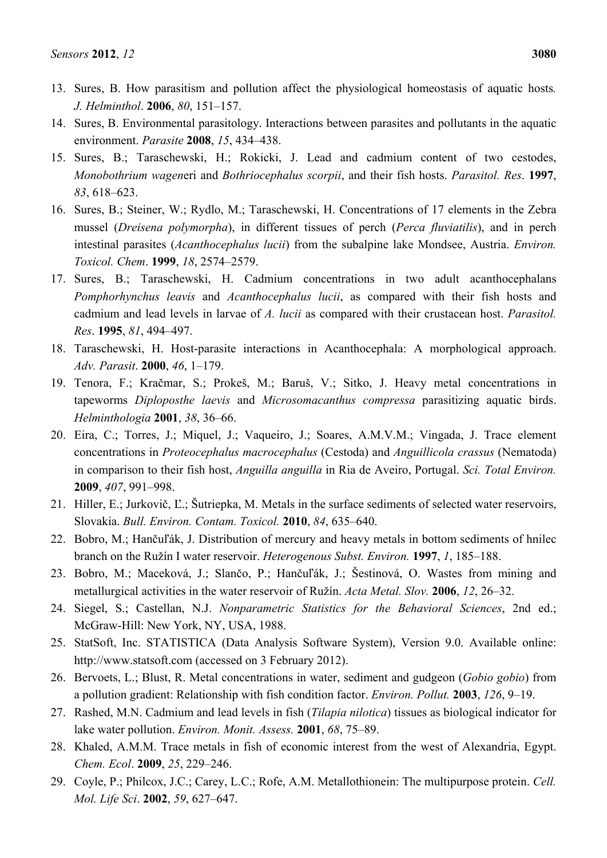- 13. Sures, B. How parasitism and pollution affect the physiological homeostasis of aquatic hosts*. J. Helminthol*. **2006**, *80*, 151–157.
- 14. Sures, B. Environmental parasitology. Interactions between parasites and pollutants in the aquatic environment. *Parasite* **2008**, *15*, 434–438.
- 15. Sures, B.; Taraschewski, H.; Rokicki, J. Lead and cadmium content of two cestodes, *Monobothrium wagen*eri and *Bothriocephalus scorpii*, and their fish hosts. *Parasitol. Res*. **1997**, *83*, 618–623.
- 16. Sures, B.; Steiner, W.; Rydlo, M.; Taraschewski, H. Concentrations of 17 elements in the Zebra mussel (*Dreisena polymorpha*), in different tissues of perch (*Perca fluviatilis*), and in perch intestinal parasites (*Acanthocephalus lucii*) from the subalpine lake Mondsee, Austria. *Environ. Toxicol. Chem*. **1999**, *18*, 2574–2579.
- 17. Sures, B.; Taraschewski, H. Cadmium concentrations in two adult acanthocephalans *Pomphorhynchus leavis* and *Acanthocephalus lucii*, as compared with their fish hosts and cadmium and lead levels in larvae of *A. lucii* as compared with their crustacean host. *Parasitol. Res*. **1995**, *81*, 494–497.
- 18. Taraschewski, H. Host-parasite interactions in Acanthocephala: A morphological approach. *Adv. Parasit*. **2000**, *46*, 1–179.
- 19. Tenora, F.; Kračmar, S.; Prokeš, M.; Baruš, V.; Sitko, J. Heavy metal concentrations in tapeworms *Diploposthe laevis* and *Microsomacanthus compressa* parasitizing aquatic birds. *Helminthologia* **2001**, *38*, 36–66.
- 20. Eira, C.; Torres, J.; Miquel, J.; Vaqueiro, J.; Soares, A.M.V.M.; Vingada, J. Trace element concentrations in *Proteocephalus macrocephalus* (Cestoda) and *Anguillicola crassus* (Nematoda) in comparison to their fish host, *Anguilla anguilla* in Ria de Aveiro, Portugal. *Sci. Total Environ.* **2009**, *407*, 991–998.
- 21. Hiller, E.; Jurkovič, Ľ.; Šutriepka, M. Metals in the surface sediments of selected water reservoirs, Slovakia. *Bull. Environ. Contam. Toxicol.* **2010**, *84*, 635–640.
- 22. Bobro, M.; Hančuľák, J. Distribution of mercury and heavy metals in bottom sediments of hnilec branch on the Ružín I water reservoir. *Heterogenous Subst. Environ.* **1997**, *1*, 185–188.
- 23. Bobro, M.; Maceková, J.; Slančo, P.; Hančuľák, J.; Šestinová, O. Wastes from mining and metallurgical activities in the water reservoir of Ružín. *Acta Metal. Slov.* **2006**, *12*, 26–32.
- 24. Siegel, S.; Castellan, N.J. *Nonparametric Statistics for the Behavioral Sciences*, 2nd ed.; McGraw-Hill: New York, NY, USA, 1988.
- 25. StatSoft, Inc. STATISTICA (Data Analysis Software System), Version 9.0. Available online: http://www.statsoft.com (accessed on 3 February 2012).
- 26. Bervoets, L.; Blust, R. Metal concentrations in water, sediment and gudgeon (*Gobio gobio*) from a pollution gradient: Relationship with fish condition factor. *Environ. Pollut.* **2003**, *126*, 9–19.
- 27. Rashed, M.N. Cadmium and lead levels in fish (*Tilapia nilotica*) tissues as biological indicator for lake water pollution. *Environ. Monit. Assess.* **2001**, *68*, 75–89.
- 28. Khaled, A.M.M. Trace metals in fish of economic interest from the west of Alexandria, Egypt. *Chem. Ecol*. **2009**, *25*, 229–246.
- 29. Coyle, P.; Philcox, J.C.; Carey, L.C.; Rofe, A.M. Metallothionein: The multipurpose protein. *Cell. Mol. Life Sci*. **2002**, *59*, 627–647.